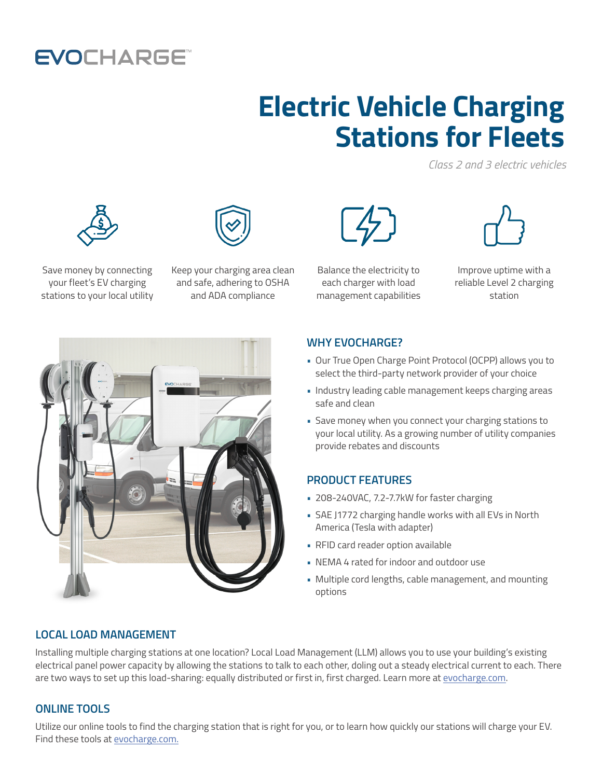## **EVOCHARGE**

# **Electric Vehicle Charging Stations for Fleets**

*Class 2 and 3 electric vehicles*





Save money by connecting your fleet's EV charging stations to your local utility

Keep your charging area clean and safe, adhering to OSHA and ADA compliance



Balance the electricity to each charger with load management capabilities



Improve uptime with a reliable Level 2 charging station



#### **WHY EVOCHARGE?**

- Our True Open Charge Point Protocol (OCPP) allows you to select the third-party network provider of your choice
- Industry leading cable management keeps charging areas safe and clean
- Save money when you connect your charging stations to your local utility. As a growing number of utility companies provide rebates and discounts

### **PRODUCT FEATURES**

- 208-240VAC, 7.2-7.7kW for faster charging
- SAE J1772 charging handle works with all EVs in North America (Tesla with adapter)
- RFID card reader option available
- NEMA 4 rated for indoor and outdoor use
- Multiple cord lengths, cable management, and mounting options

### **LOCAL LOAD MANAGEMENT**

Installing multiple charging stations at one location? Local Load Management (LLM) allows you to use your building's existing electrical panel power capacity by allowing the stations to talk to each other, doling out a steady electrical current to each. There are two ways to set up this load-sharing: equally distributed or first in, first charged. Learn more at [evocharge.com.](http://evocharge.com)

### **ONLINE TOOLS**

Utilize our online tools to find the charging station that is right for you, or to learn how quickly our stations will charge your EV. Find these tools at [evocharge.com.](http://evocharge.com)